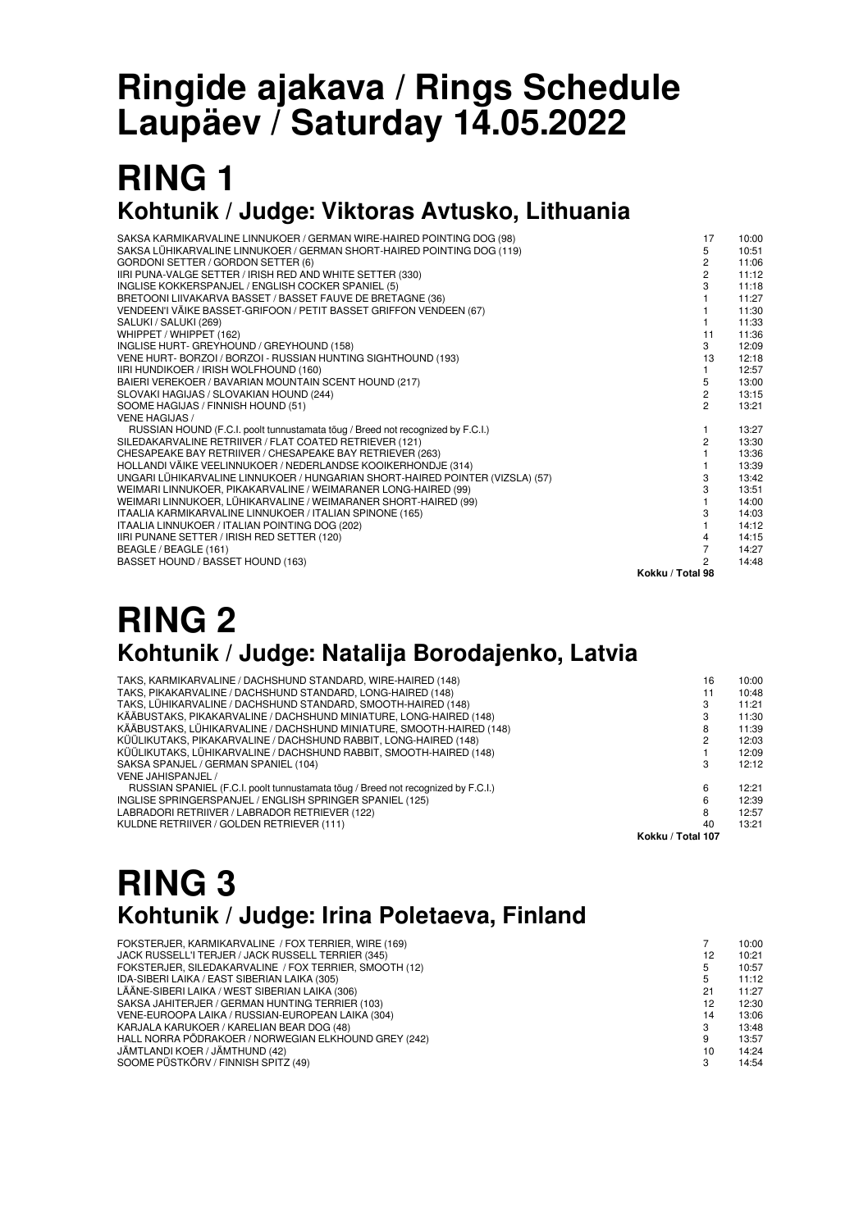# **Ringide ajakava / Rings Schedule Laupäev / Saturday 14.05.2022**

### **RING 1 Kohtunik / Judge: Viktoras Avtusko, Lithuania**

| IIRI PUNA-VALGE SETTER / IRISH RED AND WHITE SETTER (330)<br>INGLISE KOKKERSPANJEL / ENGLISH COCKER SPANIEL (5) | 3                | 11:12<br>11:18 |
|-----------------------------------------------------------------------------------------------------------------|------------------|----------------|
| BRETOONI LIIVAKARVA BASSET / BASSET FAUVE DE BRETAGNE (36)                                                      |                  | 11:27          |
| VENDEEN'I VÄIKE BASSET-GRIFOON / PETIT BASSET GRIFFON VENDEEN (67)                                              |                  | 11:30          |
| SALUKI / SALUKI (269)                                                                                           |                  | 11:33          |
| WHIPPET / WHIPPET (162)                                                                                         | 11               | 11:36          |
| INGLISE HURT- GREYHOUND / GREYHOUND (158)                                                                       | 3                | 12:09          |
| VENE HURT- BORZOI / BORZOI - RUSSIAN HUNTING SIGHTHOUND (193)                                                   | 13               | 12:18          |
| IIRI HUNDIKOER / IRISH WOLFHOUND (160)                                                                          |                  | 12:57          |
| BAIERI VEREKOER / BAVARIAN MOUNTAIN SCENT HOUND (217)                                                           | 5                | 13:00          |
| SLOVAKI HAGIJAS / SLOVAKIAN HOUND (244)                                                                         | $\overline{c}$   | 13:15          |
| SOOME HAGIJAS / FINNISH HOUND (51)                                                                              | $\mathfrak{p}$   | 13:21          |
| <b>VENE HAGIJAS /</b>                                                                                           |                  |                |
| RUSSIAN HOUND (F.C.I. poolt tunnustamata tõug / Breed not recognized by F.C.I.)                                 |                  | 13:27          |
| SILEDAKARVALINE RETRIIVER / FLAT COATED RETRIEVER (121)                                                         | $\mathfrak{p}$   | 13:30          |
| CHESAPEAKE BAY RETRIIVER / CHESAPEAKE BAY RETRIEVER (263)                                                       |                  | 13:36          |
| HOLLANDI VÄIKE VEELINNUKOER / NEDERLANDSE KOOIKERHONDJE (314)                                                   |                  | 13:39          |
| UNGARI LÜHIKARVALINE LINNUKOER / HUNGARIAN SHORT-HAIRED POINTER (VIZSLA) (57)                                   | 3                | 13:42          |
| WEIMARI LINNUKOER, PIKAKARVALINE / WEIMARANER LONG-HAIRED (99)                                                  | 3                | 13:51          |
| WEIMARI LINNUKOER, LÜHIKARVALINE / WEIMARANER SHORT-HAIRED (99)                                                 |                  | 14:00          |
| ITAALIA KARMIKARVALINE LINNUKOER / ITALIAN SPINONE (165)                                                        | 3                | 14:03          |
| ITAALIA LINNUKOER / ITALIAN POINTING DOG (202)                                                                  |                  | 14:12          |
| IIRI PUNANE SETTER / IRISH RED SETTER (120)                                                                     | 4                | 14:15          |
| BEAGLE / BEAGLE (161)                                                                                           | $\overline{7}$   | 14:27          |
| BASSET HOUND / BASSET HOUND (163)                                                                               | 2                | 14:48          |
|                                                                                                                 | Kokku / Total 98 |                |

### **RING 2 Kohtunik / Judge: Natalija Borodajenko, Latvia**

| TAKS, KARMIKARVALINE / DACHSHUND STANDARD, WIRE-HAIRED (148)                      | 16                | 10:00 |  |
|-----------------------------------------------------------------------------------|-------------------|-------|--|
| TAKS, PIKAKARVALINE / DACHSHUND STANDARD, LONG-HAIRED (148)                       | 11                | 10:48 |  |
| TAKS, LÜHIKARVALINE / DACHSHUND STANDARD, SMOOTH-HAIRED (148)                     |                   | 11:21 |  |
| KÄÄBUSTAKS, PIKAKARVALINE / DACHSHUND MINIATURE, LONG-HAIRED (148)                |                   | 11:30 |  |
| KÄÄBUSTAKS, LÜHIKARVALINE / DACHSHUND MINIATURE, SMOOTH-HAIRED (148)              |                   | 11:39 |  |
| KÜÜLIKUTAKS, PIKAKARVALINE / DACHSHUND RABBIT, LONG-HAIRED (148)                  |                   | 12:03 |  |
| KÜÜLIKUTAKS, LÜHIKARVALINE / DACHSHUND RABBIT, SMOOTH-HAIRED (148)                |                   | 12:09 |  |
| SAKSA SPANJEL / GERMAN SPANIEL (104)                                              | 3                 | 12:12 |  |
| VENE JAHISPANJEL /                                                                |                   |       |  |
| RUSSIAN SPANIEL (F.C.I. poolt tunnustamata toug / Breed not recognized by F.C.I.) | 6                 | 12:21 |  |
| INGLISE SPRINGERSPANJEL / ENGLISH SPRINGER SPANIEL (125)                          | ี                 | 12:39 |  |
| LABRADORI RETRIIVER / LABRADOR RETRIEVER (122)                                    | 8                 | 12:57 |  |
| KULDNE RETRIIVER / GOLDEN RETRIEVER (111)                                         | 40                | 13:21 |  |
|                                                                                   | Kokku / Total 107 |       |  |

## **RING 3 Kohtunik / Judge: Irina Poletaeva, Finland**

| FOKSTERJER, KARMIKARVALINE / FOX TERRIER, WIRE (169)   |    | 10:00 |
|--------------------------------------------------------|----|-------|
| JACK RUSSELL'I TERJER / JACK RUSSELL TERRIER (345)     | 12 | 10:21 |
| FOKSTERJER, SILEDAKARVALINE / FOX TERRIER, SMOOTH (12) | 5  | 10:57 |
| IDA-SIBERI LAIKA / EAST SIBERIAN LAIKA (305)           |    | 11:12 |
| LÄÄNE-SIBERI LAIKA / WEST SIBERIAN LAIKA (306)         | 21 | 11:27 |
| SAKSA JAHITERJER / GERMAN HUNTING TERRIER (103)        | 12 | 12:30 |
| VENE-EUROOPA LAIKA / RUSSIAN-EUROPEAN LAIKA (304)      | 14 | 13:06 |
| KARJALA KARUKOER / KARELIAN BEAR DOG (48)              | 3  | 13:48 |
| HALL NORRA PÕDRAKOER / NORWEGIAN ELKHOUND GREY (242)   | 9  | 13:57 |
| JÄMTLANDI KOER / JÄMTHUND (42)                         | 10 | 14:24 |
| SOOME PÜSTKÕRV / FINNISH SPITZ (49)                    | 3  | 14:54 |
|                                                        |    |       |